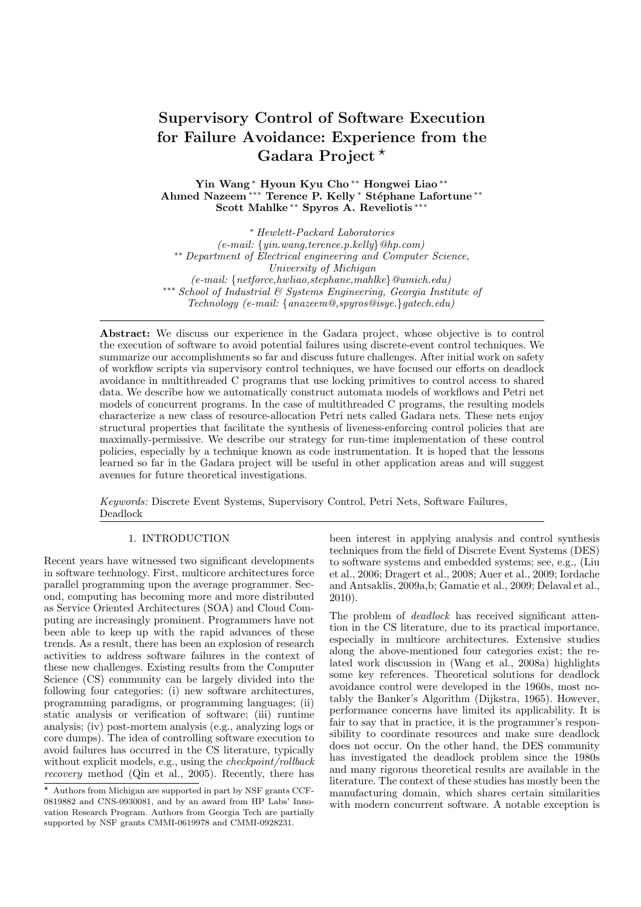# **Supervisory Control of Software Execution for Failure Avoidance: Experience from the** Gadara Project<sup>\*</sup>

**Yin Wang** ∗ **Hyoun Kyu Cho** ∗∗ **Hongwei Liao** ∗∗ **Ahmed Nazeem** ∗∗∗ **Terence P. Kelly** ∗ **St´ephane Lafortune** ∗∗ **Scott Mahlke** ∗∗ **Spyros A. Reveliotis** ∗∗∗

∗ *Hewlett-Packard Laboratories (e-mail: {yin.wang,terence.p.kelly}@hp.com)* ∗∗ *Department of Electrical engineering and Computer Science, University of Michigan*<br>(e-mail: {netforce.hwliao.stephane.mahlke}@umich.edu)  $***$  *School of Industrial & Systems Engineering, Georgia Institute of Technology (e-mail: {anazeem@,spyros@isye.}gatech.edu)*

Abstract: We discuss our experience in the Gadara project, whose objective is to control the execution of software to avoid potential failures using discrete-event control techniques. We summarize our accomplishments so far and discuss future challenges. After initial work on safety of workflow scripts via supervisory control techniques, we have focused our efforts on deadlock avoidance in multithreaded C programs that use locking primitives to control access to shared data. We describe how we automatically construct automata models of workflows and Petri net models of concurrent programs. In the case of multithreaded C programs, the resulting models characterize a new class of resource-allocation Petri nets called Gadara nets. These nets enjoy structural properties that facilitate the synthesis of liveness-enforcing control policies that are maximally-permissive. We describe our strategy for run-time implementation of these control policies, especially by a technique known as code instrumentation. It is hoped that the lessons learned so far in the Gadara project will be useful in other application areas and will suggest avenues for future theoretical investigations.

*Keywords:* Discrete Event Systems, Supervisory Control, Petri Nets, Software Failures, Deadlock

# 1. INTRODUCTION

Recent years have witnessed two significant developments in software technology. First, multicore architectures force parallel programming upon the average programmer. Second, computing has becoming more and more distributed as Service Oriented Architectures (SOA) and Cloud Computing are increasingly prominent. Programmers have not been able to keep up with the rapid advances of these trends. As a result, there has been an explosion of research activities to address software failures in the context of these new challenges. Existing results from the Computer Science (CS) community can be largely divided into the following four categories: (i) new software architectures, programming paradigms, or programming languages; (ii) static analysis or verification of software; (iii) runtime analysis; (iv) post-mortem analysis (e.g., analyzing logs or core dumps). The idea of controlling software execution to avoid failures has occurred in the CS literature, typically without explicit models, e.g., using the *checkpoint/rollback recovery* method (Qin et al., 2005). Recently, there has been interest in applying analysis and control synthesis techniques from the field of Discrete Event Systems (DES) to software systems and embedded systems; see, e.g., (Liu et al., 2006; Dragert et al., 2008; Auer et al., 2009; Iordache and Antsaklis, 2009a,b; Gamatie et al., 2009; Delaval et al., 2010).

The problem of *deadlock* has received significant attention in the CS literature, due to its practical importance, especially in multicore architectures. Extensive studies along the above-mentioned four categories exist; the related work discussion in (Wang et al., 2008a) highlights some key references. Theoretical solutions for deadlock avoidance control were developed in the 1960s, most notably the Banker's Algorithm (Dijkstra, 1965). However, performance concerns have limited its applicability. It is fair to say that in practice, it is the programmer's responsibility to coordinate resources and make sure deadlock does not occur. On the other hand, the DES community has investigated the deadlock problem since the 1980s and many rigorous theoretical results are available in the literature. The context of these studies has mostly been the manufacturing domain, which shares certain similarities with modern concurrent software. A notable exception is

 $\star$  Authors from Michigan are supported in part by NSF grants CCF-0819882 and CNS-0930081, and by an award from HP Labs' Innovation Research Program. Authors from Georgia Tech are partially supported by NSF grants CMMI-0619978 and CMMI-0928231.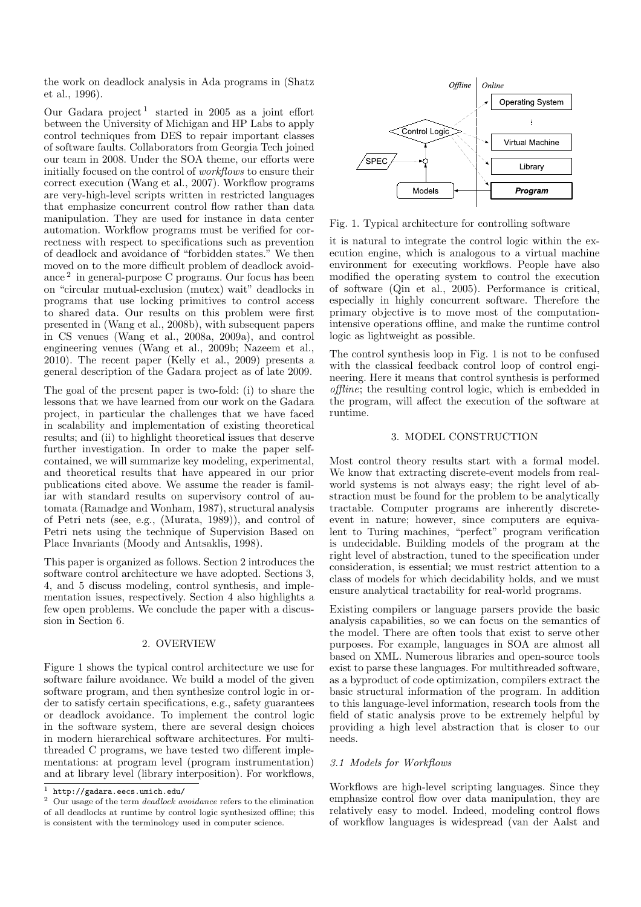the work on deadlock analysis in Ada programs in (Shatz et al., 1996).

Our Gadara project<sup>1</sup> started in 2005 as a joint effort between the University of Michigan and HP Labs to apply control techniques from DES to repair important classes of software faults. Collaborators from Georgia Tech joined our team in 2008. Under the SOA theme, our efforts were initially focused on the control of *workflows* to ensure their correct execution (Wang et al., 2007). Workflow programs are very-high-level scripts written in restricted languages that emphasize concurrent control flow rather than data manipulation. They are used for instance in data center automation. Workflow programs must be verified for correctness with respect to specifications such as prevention of deadlock and avoidance of "forbidden states." We then moved on to the more difficult problem of deadlock avoidance <sup>2</sup> in general-purpose C programs. Our focus has been on "circular mutual-exclusion (mutex) wait" deadlocks in programs that use locking primitives to control access to shared data. Our results on this problem were first presented in (Wang et al., 2008b), with subsequent papers in CS venues (Wang et al., 2008a, 2009a), and control engineering venues (Wang et al., 2009b; Nazeem et al., 2010). The recent paper (Kelly et al., 2009) presents a general description of the Gadara project as of late 2009.

The goal of the present paper is two-fold: (i) to share the lessons that we have learned from our work on the Gadara project, in particular the challenges that we have faced in scalability and implementation of existing theoretical results; and (ii) to highlight theoretical issues that deserve further investigation. In order to make the paper selfcontained, we will summarize key modeling, experimental, and theoretical results that have appeared in our prior publications cited above. We assume the reader is familiar with standard results on supervisory control of automata (Ramadge and Wonham, 1987), structural analysis of Petri nets (see, e.g., (Murata, 1989)), and control of Petri nets using the technique of Supervision Based on Place Invariants (Moody and Antsaklis, 1998).

This paper is organized as follows. Section 2 introduces the software control architecture we have adopted. Sections 3, 4, and 5 discuss modeling, control synthesis, and implementation issues, respectively. Section 4 also highlights a few open problems. We conclude the paper with a discussion in Section 6.

# 2. OVERVIEW

Figure 1 shows the typical control architecture we use for software failure avoidance. We build a model of the given software program, and then synthesize control logic in order to satisfy certain specifications, e.g., safety guarantees or deadlock avoidance. To implement the control logic in the software system, there are several design choices in modern hierarchical software architectures. For multithreaded C programs, we have tested two different implementations: at program level (program instrumentation) and at library level (library interposition). For workflows,



Fig. 1. Typical architecture for controlling software

it is natural to integrate the control logic within the execution engine, which is analogous to a virtual machine environment for executing workflows. People have also modified the operating system to control the execution of software (Qin et al., 2005). Performance is critical, especially in highly concurrent software. Therefore the primary objective is to move most of the computationintensive operations offline, and make the runtime control logic as lightweight as possible.

The control synthesis loop in Fig. 1 is not to be confused with the classical feedback control loop of control engineering. Here it means that control synthesis is performed *offline*; the resulting control logic, which is embedded in the program, will affect the execution of the software at runtime.

### 3. MODEL CONSTRUCTION

Most control theory results start with a formal model. We know that extracting discrete-event models from realworld systems is not always easy; the right level of abstraction must be found for the problem to be analytically tractable. Computer programs are inherently discreteevent in nature; however, since computers are equivalent to Turing machines, "perfect" program verification is undecidable. Building models of the program at the right level of abstraction, tuned to the specification under consideration, is essential; we must restrict attention to a class of models for which decidability holds, and we must ensure analytical tractability for real-world programs.

Existing compilers or language parsers provide the basic analysis capabilities, so we can focus on the semantics of the model. There are often tools that exist to serve other purposes. For example, languages in SOA are almost all based on XML. Numerous libraries and open-source tools exist to parse these languages. For multithreaded software, as a byproduct of code optimization, compilers extract the basic structural information of the program. In addition to this language-level information, research tools from the field of static analysis prove to be extremely helpful by providing a high level abstraction that is closer to our needs.

# *3.1 Models for Workflows*

Workflows are high-level scripting languages. Since they emphasize control flow over data manipulation, they are relatively easy to model. Indeed, modeling control flows of workflow languages is widespread (van der Aalst and

http://gadara.eecs.umich.edu/

<sup>2</sup> Our usage of the term *deadlock avoidance* refers to the elimination of all deadlocks at runtime by control logic synthesized offline; this is consistent with the terminology used in computer science.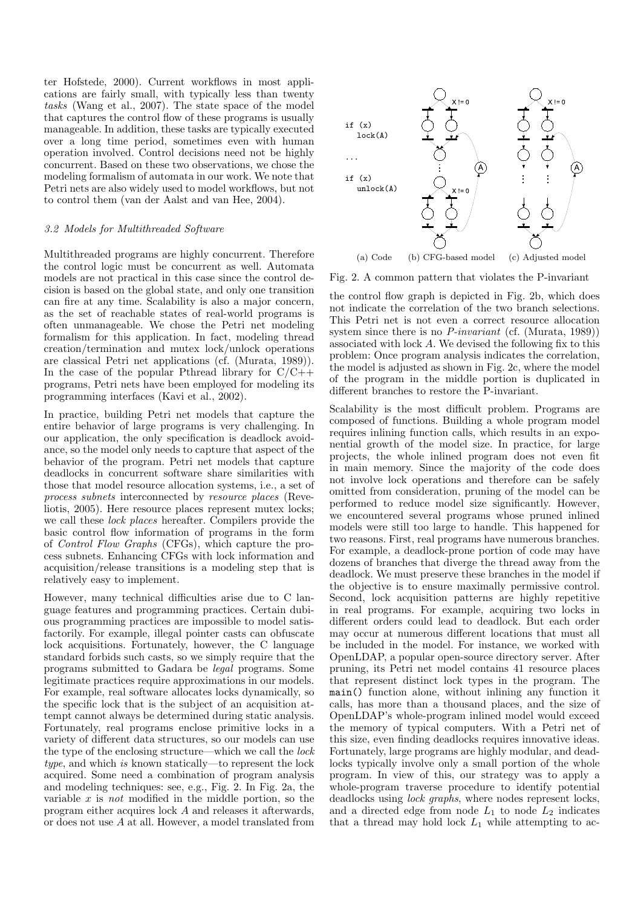ter Hofstede, 2000). Current workflows in most applications are fairly small, with typically less than twenty *tasks* (Wang et al., 2007). The state space of the model that captures the control flow of these programs is usually manageable. In addition, these tasks are typically executed over a long time period, sometimes even with human operation involved. Control decisions need not be highly concurrent. Based on these two observations, we chose the modeling formalism of automata in our work. We note that Petri nets are also widely used to model workflows, but not to control them (van der Aalst and van Hee, 2004).

### *3.2 Models for Multithreaded Software*

Multithreaded programs are highly concurrent. Therefore the control logic must be concurrent as well. Automata models are not practical in this case since the control decision is based on the global state, and only one transition can fire at any time. Scalability is also a major concern, as the set of reachable states of real-world programs is often unmanageable. We chose the Petri net modeling formalism for this application. In fact, modeling thread creation/termination and mutex lock/unlock operations are classical Petri net applications (cf. (Murata, 1989)). In the case of the popular Pthread library for  $C/C++$ programs, Petri nets have been employed for modeling its programming interfaces (Kavi et al., 2002).

In practice, building Petri net models that capture the entire behavior of large programs is very challenging. In our application, the only specification is deadlock avoidance, so the model only needs to capture that aspect of the behavior of the program. Petri net models that capture deadlocks in concurrent software share similarities with those that model resource allocation systems, i.e., a set of *process subnets* interconnected by *resource places* (Reveliotis, 2005). Here resource places represent mutex locks; we call these *lock places* hereafter. Compilers provide the basic control flow information of programs in the form of *Control Flow Graphs* (CFGs), which capture the process subnets. Enhancing CFGs with lock information and acquisition/release transitions is a modeling step that is relatively easy to implement.

However, many technical difficulties arise due to C language features and programming practices. Certain dubious programming practices are impossible to model satisfactorily. For example, illegal pointer casts can obfuscate lock acquisitions. Fortunately, however, the C language standard forbids such casts, so we simply require that the programs submitted to Gadara be *legal* programs. Some legitimate practices require approximations in our models. For example, real software allocates locks dynamically, so the specific lock that is the subject of an acquisition attempt cannot always be determined during static analysis. Fortunately, real programs enclose primitive locks in a variety of different data structures, so our models can use the type of the enclosing structure—which we call the *lock type*, and which *is* known statically—to represent the lock acquired. Some need a combination of program analysis and modeling techniques: see, e.g., Fig. 2. In Fig. 2a, the variable x is *not* modified in the middle portion, so the program either acquires lock A and releases it afterwards, or does not use A at all. However, a model translated from



Fig. 2. A common pattern that violates the P-invariant

the control flow graph is depicted in Fig. 2b, which does not indicate the correlation of the two branch selections. This Petri net is not even a correct resource allocation system since there is no *P-invariant* (cf. (Murata, 1989)) associated with lock A. We devised the following fix to this problem: Once program analysis indicates the correlation, the model is adjusted as shown in Fig. 2c, where the model of the program in the middle portion is duplicated in different branches to restore the P-invariant.

Scalability is the most difficult problem. Programs are composed of functions. Building a whole program model requires inlining function calls, which results in an exponential growth of the model size. In practice, for large projects, the whole inlined program does not even fit in main memory. Since the majority of the code does not involve lock operations and therefore can be safely omitted from consideration, pruning of the model can be performed to reduce model size significantly. However, we encountered several programs whose pruned inlined models were still too large to handle. This happened for two reasons. First, real programs have numerous branches. For example, a deadlock-prone portion of code may have dozens of branches that diverge the thread away from the deadlock. We must preserve these branches in the model if the objective is to ensure maximally permissive control. Second, lock acquisition patterns are highly repetitive in real programs. For example, acquiring two locks in different orders could lead to deadlock. But each order may occur at numerous different locations that must all be included in the model. For instance, we worked with OpenLDAP, a popular open-source directory server. After pruning, its Petri net model contains 41 resource places that represent distinct lock types in the program. The main() function alone, without inlining any function it calls, has more than a thousand places, and the size of OpenLDAP's whole-program inlined model would exceed the memory of typical computers. With a Petri net of this size, even finding deadlocks requires innovative ideas. Fortunately, large programs are highly modular, and deadlocks typically involve only a small portion of the whole program. In view of this, our strategy was to apply a whole-program traverse procedure to identify potential deadlocks using *lock graphs*, where nodes represent locks, and a directed edge from node  $L_1$  to node  $L_2$  indicates that a thread may hold lock  $L_1$  while attempting to ac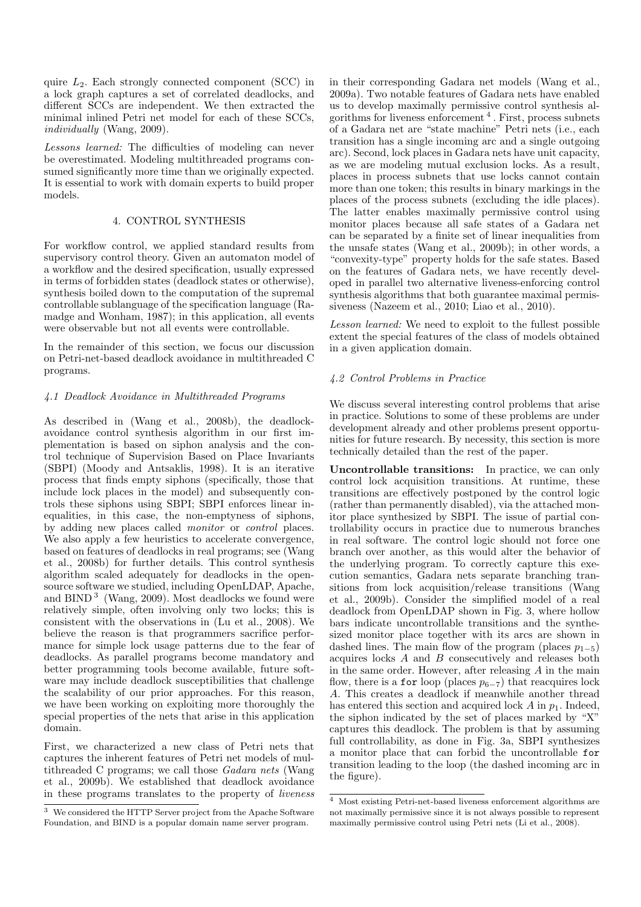quire  $L_2$ . Each strongly connected component (SCC) in a lock graph captures a set of correlated deadlocks, and different SCCs are independent. We then extracted the minimal inlined Petri net model for each of these SCCs, *individually* (Wang, 2009).

*Lessons learned:* The difficulties of modeling can never be overestimated. Modeling multithreaded programs consumed significantly more time than we originally expected. It is essential to work with domain experts to build proper models.

# 4. CONTROL SYNTHESIS

For workflow control, we applied standard results from supervisory control theory. Given an automaton model of a workflow and the desired specification, usually expressed in terms of forbidden states (deadlock states or otherwise), synthesis boiled down to the computation of the supremal controllable sublanguage of the specification language (Ramadge and Wonham, 1987); in this application, all events were observable but not all events were controllable.

In the remainder of this section, we focus our discussion on Petri-net-based deadlock avoidance in multithreaded C programs.

# *4.1 Deadlock Avoidance in Multithreaded Programs*

As described in (Wang et al., 2008b), the deadlockavoidance control synthesis algorithm in our first implementation is based on siphon analysis and the control technique of Supervision Based on Place Invariants (SBPI) (Moody and Antsaklis, 1998). It is an iterative process that finds empty siphons (specifically, those that include lock places in the model) and subsequently controls these siphons using SBPI; SBPI enforces linear inequalities, in this case, the non-emptyness of siphons, by adding new places called *monitor* or *control* places. We also apply a few heuristics to accelerate convergence, based on features of deadlocks in real programs; see (Wang et al., 2008b) for further details. This control synthesis algorithm scaled adequately for deadlocks in the opensource software we studied, including OpenLDAP, Apache, and BIND <sup>3</sup> (Wang, 2009). Most deadlocks we found were relatively simple, often involving only two locks; this is consistent with the observations in (Lu et al., 2008). We believe the reason is that programmers sacrifice performance for simple lock usage patterns due to the fear of deadlocks. As parallel programs become mandatory and better programming tools become available, future software may include deadlock susceptibilities that challenge the scalability of our prior approaches. For this reason, we have been working on exploiting more thoroughly the special properties of the nets that arise in this application domain.

First, we characterized a new class of Petri nets that captures the inherent features of Petri net models of multithreaded C programs; we call those *Gadara nets* (Wang et al., 2009b). We established that deadlock avoidance in these programs translates to the property of *liveness* in their corresponding Gadara net models (Wang et al., 2009a). Two notable features of Gadara nets have enabled us to develop maximally permissive control synthesis algorithms for liveness enforcement <sup>4</sup> . First, process subnets of a Gadara net are "state machine" Petri nets (i.e., each transition has a single incoming arc and a single outgoing arc). Second, lock places in Gadara nets have unit capacity, as we are modeling mutual exclusion locks. As a result, places in process subnets that use locks cannot contain more than one token; this results in binary markings in the places of the process subnets (excluding the idle places). The latter enables maximally permissive control using monitor places because all safe states of a Gadara net can be separated by a finite set of linear inequalities from the unsafe states (Wang et al., 2009b); in other words, a "convexity-type" property holds for the safe states. Based on the features of Gadara nets, we have recently developed in parallel two alternative liveness-enforcing control synthesis algorithms that both guarantee maximal permissiveness (Nazeem et al., 2010; Liao et al., 2010).

*Lesson learned:* We need to exploit to the fullest possible extent the special features of the class of models obtained in a given application domain.

# *4.2 Control Problems in Practice*

We discuss several interesting control problems that arise in practice. Solutions to some of these problems are under development already and other problems present opportunities for future research. By necessity, this section is more technically detailed than the rest of the paper.

**Uncontrollable transitions:** In practice, we can only control lock acquisition transitions. At runtime, these transitions are effectively postponed by the control logic (rather than permanently disabled), via the attached monitor place synthesized by SBPI. The issue of partial controllability occurs in practice due to numerous branches in real software. The control logic should not force one branch over another, as this would alter the behavior of the underlying program. To correctly capture this execution semantics, Gadara nets separate branching transitions from lock acquisition/release transitions (Wang et al., 2009b). Consider the simplified model of a real deadlock from OpenLDAP shown in Fig. 3, where hollow bars indicate uncontrollable transitions and the synthesized monitor place together with its arcs are shown in dashed lines. The main flow of the program (places  $p_{1-5}$ ) acquires locks A and B consecutively and releases both in the same order. However, after releasing A in the main flow, there is a for loop (places  $p_{6-7}$ ) that reacquires lock A. This creates a deadlock if meanwhile another thread has entered this section and acquired lock  $A$  in  $p_1$ . Indeed, the siphon indicated by the set of places marked by "X" captures this deadlock. The problem is that by assuming full controllability, as done in Fig. 3a, SBPI synthesizes a monitor place that can forbid the uncontrollable for transition leading to the loop (the dashed incoming arc in the figure).

<sup>3</sup> We considered the HTTP Server project from the Apache Software Foundation, and BIND is a popular domain name server program.

<sup>4</sup> Most existing Petri-net-based liveness enforcement algorithms are not maximally permissive since it is not always possible to represent maximally permissive control using Petri nets (Li et al., 2008).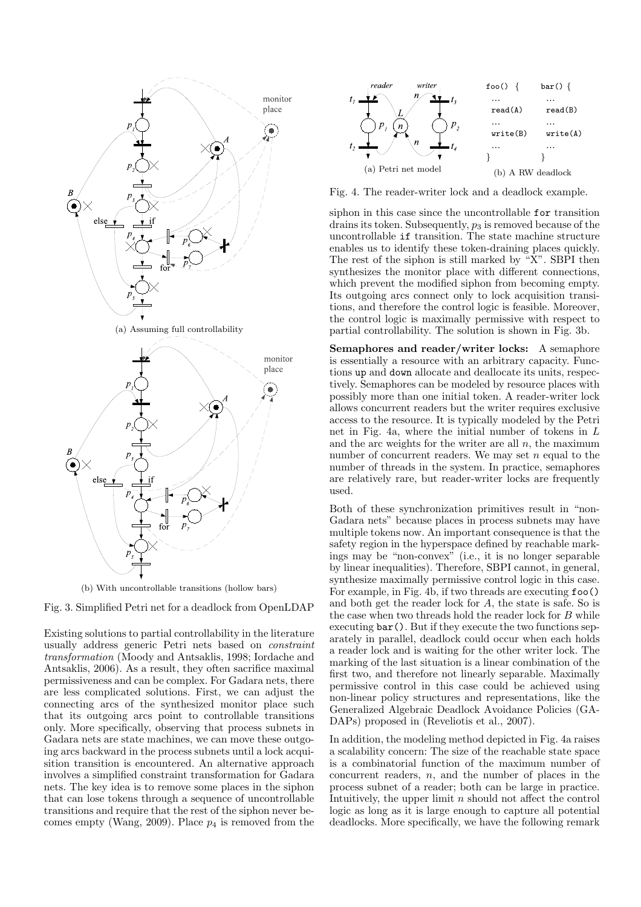

(b) With uncontrollable transitions (hollow bars)



Existing solutions to partial controllability in the literature usually address generic Petri nets based on *constraint transformation* (Moody and Antsaklis, 1998; Iordache and Antsaklis, 2006). As a result, they often sacrifice maximal permissiveness and can be complex. For Gadara nets, there are less complicated solutions. First, we can adjust the connecting arcs of the synthesized monitor place such that its outgoing arcs point to controllable transitions only. More specifically, observing that process subnets in Gadara nets are state machines, we can move these outgoing arcs backward in the process subnets until a lock acquisition transition is encountered. An alternative approach involves a simplified constraint transformation for Gadara nets. The key idea is to remove some places in the siphon that can lose tokens through a sequence of uncontrollable transitions and require that the rest of the siphon never becomes empty (Wang, 2009). Place  $p_4$  is removed from the



Fig. 4. The reader-writer lock and a deadlock example.

siphon in this case since the uncontrollable for transition drains its token. Subsequently,  $p_3$  is removed because of the uncontrollable if transition. The state machine structure enables us to identify these token-draining places quickly. The rest of the siphon is still marked by "X". SBPI then synthesizes the monitor place with different connections, which prevent the modified siphon from becoming empty. Its outgoing arcs connect only to lock acquisition transitions, and therefore the control logic is feasible. Moreover, the control logic is maximally permissive with respect to partial controllability. The solution is shown in Fig. 3b.

**Semaphores and reader/writer locks:** A semaphore is essentially a resource with an arbitrary capacity. Functions up and down allocate and deallocate its units, respectively. Semaphores can be modeled by resource places with possibly more than one initial token. A reader-writer lock allows concurrent readers but the writer requires exclusive access to the resource. It is typically modeled by the Petri net in Fig. 4a, where the initial number of tokens in L and the arc weights for the writer are all  $n$ , the maximum number of concurrent readers. We may set  $n$  equal to the number of threads in the system. In practice, semaphores are relatively rare, but reader-writer locks are frequently used.

Both of these synchronization primitives result in "non-Gadara nets" because places in process subnets may have multiple tokens now. An important consequence is that the safety region in the hyperspace defined by reachable markings may be "non-convex" (i.e., it is no longer separable by linear inequalities). Therefore, SBPI cannot, in general, synthesize maximally permissive control logic in this case. For example, in Fig. 4b, if two threads are executing foo() and both get the reader lock for A, the state is safe. So is the case when two threads hold the reader lock for B while executing bar(). But if they execute the two functions separately in parallel, deadlock could occur when each holds a reader lock and is waiting for the other writer lock. The marking of the last situation is a linear combination of the first two, and therefore not linearly separable. Maximally permissive control in this case could be achieved using non-linear policy structures and representations, like the Generalized Algebraic Deadlock Avoidance Policies (GA-DAPs) proposed in (Reveliotis et al., 2007).

In addition, the modeling method depicted in Fig. 4a raises a scalability concern: The size of the reachable state space is a combinatorial function of the maximum number of concurrent readers,  $n$ , and the number of places in the process subnet of a reader; both can be large in practice. Intuitively, the upper limit  $n$  should not affect the control logic as long as it is large enough to capture all potential deadlocks. More specifically, we have the following remark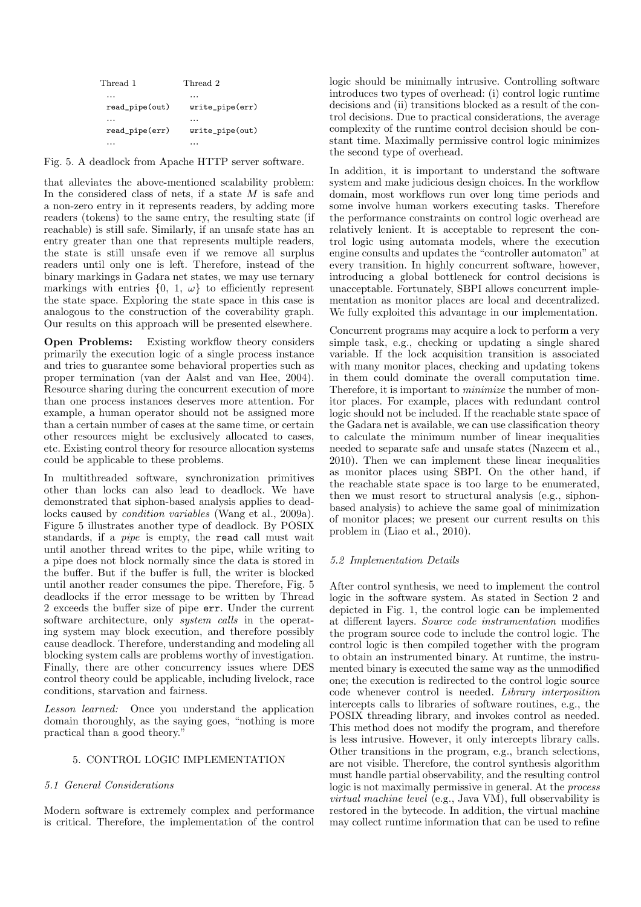| Thread 1             | Thread 2        |
|----------------------|-----------------|
| $\ddot{\phantom{0}}$ | $\cdots$        |
| read_pipe(out)       | write_pipe(err) |
| $\ddotsc$            | .               |
| read_pipe(err)       | write_pipe(out) |
|                      |                 |

Fig. 5. A deadlock from Apache HTTP server software.

that alleviates the above-mentioned scalability problem: In the considered class of nets, if a state  $M$  is safe and a non-zero entry in it represents readers, by adding more readers (tokens) to the same entry, the resulting state (if reachable) is still safe. Similarly, if an unsafe state has an entry greater than one that represents multiple readers, the state is still unsafe even if we remove all surplus readers until only one is left. Therefore, instead of the binary markings in Gadara net states, we may use ternary markings with entries  $\{0, 1, \omega\}$  to efficiently represent the state space. Exploring the state space in this case is analogous to the construction of the coverability graph. Our results on this approach will be presented elsewhere.

**Open Problems:** Existing workflow theory considers primarily the execution logic of a single process instance and tries to guarantee some behavioral properties such as proper termination (van der Aalst and van Hee, 2004). Resource sharing during the concurrent execution of more than one process instances deserves more attention. For example, a human operator should not be assigned more than a certain number of cases at the same time, or certain other resources might be exclusively allocated to cases, etc. Existing control theory for resource allocation systems could be applicable to these problems.

In multithreaded software, synchronization primitives other than locks can also lead to deadlock. We have demonstrated that siphon-based analysis applies to deadlocks caused by *condition variables* (Wang et al., 2009a). Figure 5 illustrates another type of deadlock. By POSIX standards, if a *pipe* is empty, the read call must wait until another thread writes to the pipe, while writing to a pipe does not block normally since the data is stored in the buffer. But if the buffer is full, the writer is blocked until another reader consumes the pipe. Therefore, Fig. 5 deadlocks if the error message to be written by Thread 2 exceeds the buffer size of pipe err. Under the current software architecture, only *system calls* in the operating system may block execution, and therefore possibly cause deadlock. Therefore, understanding and modeling all blocking system calls are problems worthy of investigation. Finally, there are other concurrency issues where DES control theory could be applicable, including livelock, race conditions, starvation and fairness.

*Lesson learned:* Once you understand the application domain thoroughly, as the saying goes, "nothing is more practical than a good theory."

# 5. CONTROL LOGIC IMPLEMENTATION

### *5.1 General Considerations*

Modern software is extremely complex and performance is critical. Therefore, the implementation of the control

logic should be minimally intrusive. Controlling software introduces two types of overhead: (i) control logic runtime decisions and (ii) transitions blocked as a result of the control decisions. Due to practical considerations, the average complexity of the runtime control decision should be constant time. Maximally permissive control logic minimizes the second type of overhead.

In addition, it is important to understand the software system and make judicious design choices. In the workflow domain, most workflows run over long time periods and some involve human workers executing tasks. Therefore the performance constraints on control logic overhead are relatively lenient. It is acceptable to represent the control logic using automata models, where the execution engine consults and updates the "controller automaton" at every transition. In highly concurrent software, however, introducing a global bottleneck for control decisions is unacceptable. Fortunately, SBPI allows concurrent implementation as monitor places are local and decentralized. We fully exploited this advantage in our implementation.

Concurrent programs may acquire a lock to perform a very simple task, e.g., checking or updating a single shared variable. If the lock acquisition transition is associated with many monitor places, checking and updating tokens in them could dominate the overall computation time. Therefore, it is important to *minimize* the number of monitor places. For example, places with redundant control logic should not be included. If the reachable state space of the Gadara net is available, we can use classification theory to calculate the minimum number of linear inequalities needed to separate safe and unsafe states (Nazeem et al., 2010). Then we can implement these linear inequalities as monitor places using SBPI. On the other hand, if the reachable state space is too large to be enumerated, then we must resort to structural analysis (e.g., siphonbased analysis) to achieve the same goal of minimization of monitor places; we present our current results on this problem in (Liao et al., 2010).

### *5.2 Implementation Details*

After control synthesis, we need to implement the control logic in the software system. As stated in Section 2 and depicted in Fig. 1, the control logic can be implemented at different layers. *Source code instrumentation* modifies the program source code to include the control logic. The control logic is then compiled together with the program to obtain an instrumented binary. At runtime, the instrumented binary is executed the same way as the unmodified one; the execution is redirected to the control logic source code whenever control is needed. *Library interposition* intercepts calls to libraries of software routines, e.g., the POSIX threading library, and invokes control as needed. This method does not modify the program, and therefore is less intrusive. However, it only intercepts library calls. Other transitions in the program, e.g., branch selections, are not visible. Therefore, the control synthesis algorithm must handle partial observability, and the resulting control logic is not maximally permissive in general. At the *process virtual machine level* (e.g., Java VM), full observability is restored in the bytecode. In addition, the virtual machine may collect runtime information that can be used to refine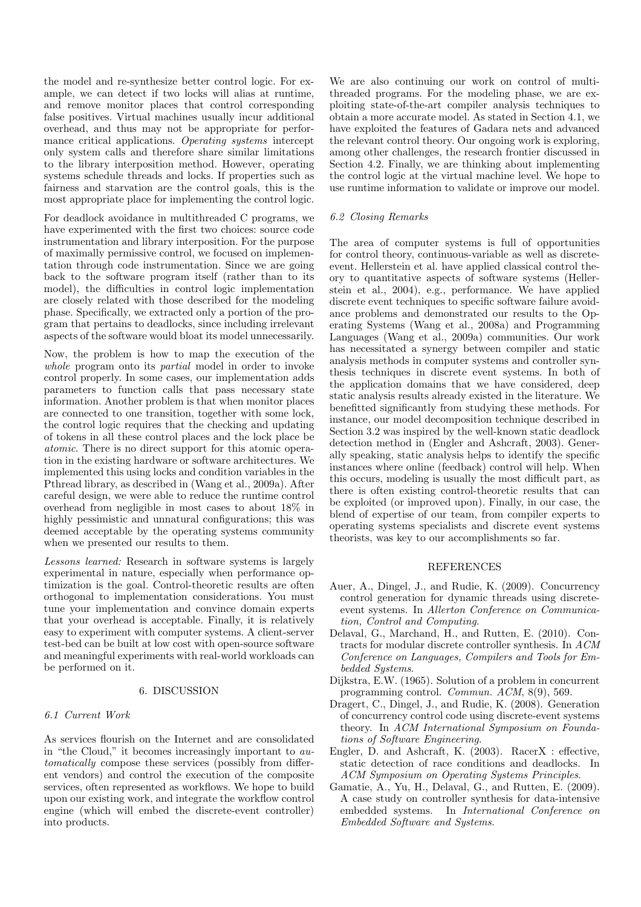the model and re-synthesize better control logic. For example, we can detect if two locks will alias at runtime, and remove monitor places that control corresponding false positives. Virtual machines usually incur additional overhead, and thus may not be appropriate for performance critical applications. *Operating systems* intercept only system calls and therefore share similar limitations to the library interposition method. However, operating systems schedule threads and locks. If properties such as fairness and starvation are the control goals, this is the most appropriate place for implementing the control logic.

For deadlock avoidance in multithreaded C programs, we have experimented with the first two choices: source code instrumentation and library interposition. For the purpose of maximally permissive control, we focused on implementation through code instrumentation. Since we are going back to the software program itself (rather than to its model), the difficulties in control logic implementation are closely related with those described for the modeling phase. Specifically, we extracted only a portion of the program that pertains to deadlocks, since including irrelevant aspects of the software would bloat its model unnecessarily.

Now, the problem is how to map the execution of the *whole* program onto its *partial* model in order to invoke control properly. In some cases, our implementation adds parameters to function calls that pass necessary state information. Another problem is that when monitor places are connected to one transition, together with some lock, the control logic requires that the checking and updating of tokens in all these control places and the lock place be *atomic*. There is no direct support for this atomic operation in the existing hardware or software architectures. We implemented this using locks and condition variables in the Pthread library, as described in (Wang et al., 2009a). After careful design, we were able to reduce the runtime control overhead from negligible in most cases to about 18% in highly pessimistic and unnatural configurations; this was deemed acceptable by the operating systems community when we presented our results to them.

*Lessons learned:* Research in software systems is largely experimental in nature, especially when performance optimization is the goal. Control-theoretic results are often orthogonal to implementation considerations. You must tune your implementation and convince domain experts that your overhead is acceptable. Finally, it is relatively easy to experiment with computer systems. A client-server test-bed can be built at low cost with open-source software and meaningful experiments with real-world workloads can be performed on it.

### 6. DISCUSSION

### *6.1 Current Work*

As services flourish on the Internet and are consolidated in "the Cloud," it becomes increasingly important to *automatically* compose these services (possibly from different vendors) and control the execution of the composite services, often represented as workflows. We hope to build upon our existing work, and integrate the workflow control engine (which will embed the discrete-event controller) into products.

We are also continuing our work on control of multithreaded programs. For the modeling phase, we are exploiting state-of-the-art compiler analysis techniques to obtain a more accurate model. As stated in Section 4.1, we have exploited the features of Gadara nets and advanced the relevant control theory. Our ongoing work is exploring, among other challenges, the research frontier discussed in Section 4.2. Finally, we are thinking about implementing the control logic at the virtual machine level. We hope to use runtime information to validate or improve our model.

### *6.2 Closing Remarks*

The area of computer systems is full of opportunities for control theory, continuous-variable as well as discreteevent. Hellerstein et al. have applied classical control theory to quantitative aspects of software systems (Hellerstein et al., 2004), e.g., performance. We have applied discrete event techniques to specific software failure avoidance problems and demonstrated our results to the Operating Systems (Wang et al., 2008a) and Programming Languages (Wang et al., 2009a) communities. Our work has necessitated a synergy between compiler and static analysis methods in computer systems and controller synthesis techniques in discrete event systems. In both of the application domains that we have considered, deep static analysis results already existed in the literature. We benefitted significantly from studying these methods. For instance, our model decomposition technique described in Section 3.2 was inspired by the well-known static deadlock detection method in (Engler and Ashcraft, 2003). Generally speaking, static analysis helps to identify the specific instances where online (feedback) control will help. When this occurs, modeling is usually the most difficult part, as there is often existing control-theoretic results that can be exploited (or improved upon). Finally, in our case, the blend of expertise of our team, from compiler experts to operating systems specialists and discrete event systems theorists, was key to our accomplishments so far.

#### **REFERENCES**

- Auer, A., Dingel, J., and Rudie, K. (2009). Concurrency control generation for dynamic threads using discreteevent systems. In *Allerton Conference on Communication, Control and Computing*.
- Delaval, G., Marchand, H., and Rutten, E. (2010). Contracts for modular discrete controller synthesis. In *ACM Conference on Languages, Compilers and Tools for Embedded Systems*.
- Dijkstra, E.W. (1965). Solution of a problem in concurrent programming control. *Commun. ACM*, 8(9), 569.
- Dragert, C., Dingel, J., and Rudie, K. (2008). Generation of concurrency control code using discrete-event systems theory. In *ACM International Symposium on Foundations of Software Engineering*.
- Engler, D. and Ashcraft, K. (2003). RacerX : effective, static detection of race conditions and deadlocks. In *ACM Symposium on Operating Systems Principles*.
- Gamatie, A., Yu, H., Delaval, G., and Rutten, E. (2009). A case study on controller synthesis for data-intensive embedded systems. In *International Conference on Embedded Software and Systems*.